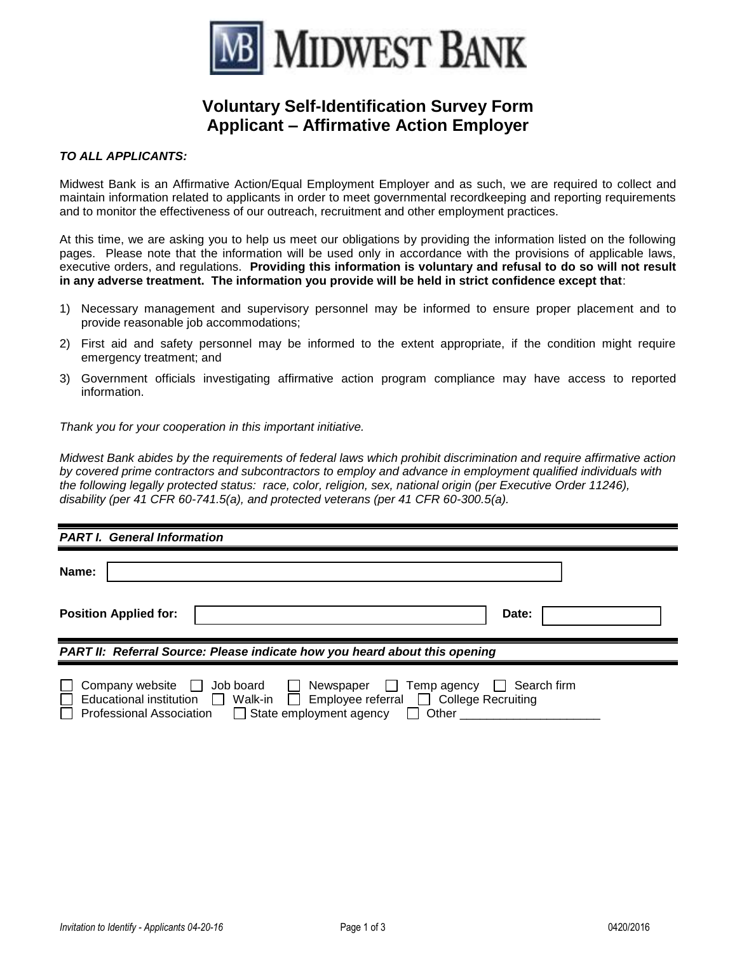

# **Voluntary Self-Identification Survey Form Applicant – Affirmative Action Employer**

#### *TO ALL APPLICANTS:*

Midwest Bank is an Affirmative Action/Equal Employment Employer and as such, we are required to collect and maintain information related to applicants in order to meet governmental recordkeeping and reporting requirements and to monitor the effectiveness of our outreach, recruitment and other employment practices.

At this time, we are asking you to help us meet our obligations by providing the information listed on the following pages. Please note that the information will be used only in accordance with the provisions of applicable laws, executive orders, and regulations. **Providing this information is voluntary and refusal to do so will not result in any adverse treatment. The information you provide will be held in strict confidence except that**:

- 1) Necessary management and supervisory personnel may be informed to ensure proper placement and to provide reasonable job accommodations;
- 2) First aid and safety personnel may be informed to the extent appropriate, if the condition might require emergency treatment; and
- 3) Government officials investigating affirmative action program compliance may have access to reported information.

*Thank you for your cooperation in this important initiative.*

*Midwest Bank abides by the requirements of federal laws which prohibit discrimination and require affirmative action by covered prime contractors and subcontractors to employ and advance in employment qualified individuals with the following legally protected status: race, color, religion, sex, national origin (per Executive Order 11246), disability (per 41 CFR 60-741.5(a), and protected veterans (per 41 CFR 60-300.5(a).*

| <b>PART I. General Information</b>                                                                                                                                                                                                   |             |  |
|--------------------------------------------------------------------------------------------------------------------------------------------------------------------------------------------------------------------------------------|-------------|--|
| Name:                                                                                                                                                                                                                                |             |  |
| <b>Position Applied for:</b>                                                                                                                                                                                                         | Date:       |  |
| PART II: Referral Source: Please indicate how you heard about this opening                                                                                                                                                           |             |  |
| Company website<br>Job board<br>Temp agency<br>Newspaper<br>$\mathsf{L}$<br><b>Educational institution</b><br>Employee referral College Recruiting<br>Walk-in<br><b>Professional Association</b><br>State employment agency<br>Other | Search firm |  |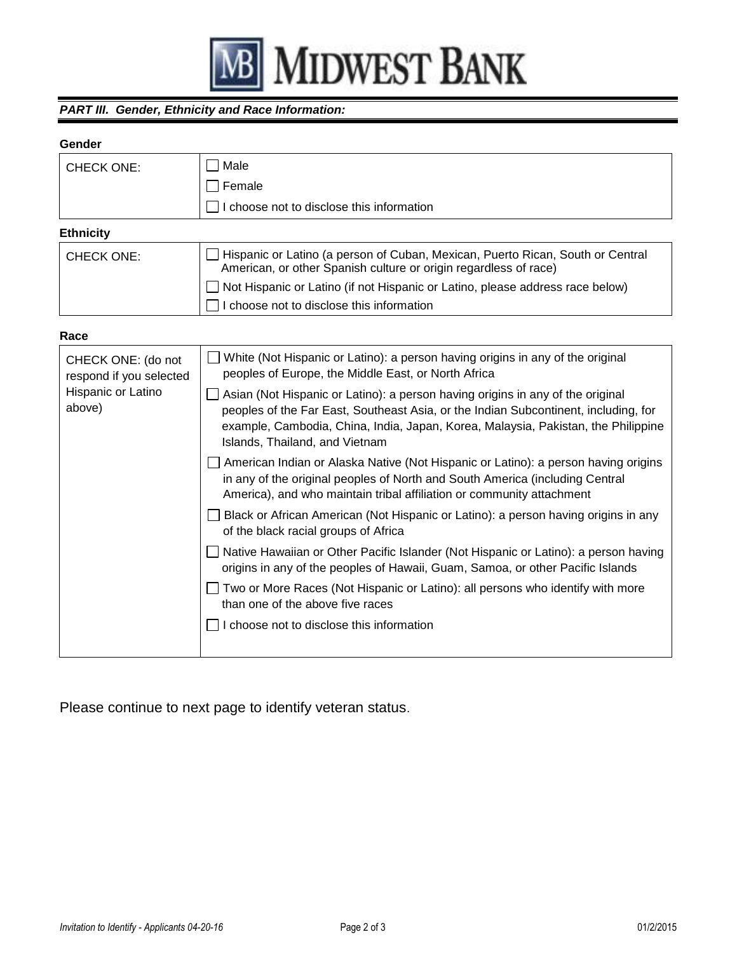

### *PART III. Gender, Ethnicity and Race Information:*

#### **Gender**

| <b>CHECK ONE:</b> | Male                                                                                                                                                 |
|-------------------|------------------------------------------------------------------------------------------------------------------------------------------------------|
|                   | Female                                                                                                                                               |
|                   | choose not to disclose this information                                                                                                              |
| <b>Ethnicity</b>  |                                                                                                                                                      |
| <b>CHECK ONE:</b> | □ Hispanic or Latino (a person of Cuban, Mexican, Puerto Rican, South or Central<br>American, or other Spanish culture or origin regardless of race) |
|                   | □ Not Hispanic or Latino (if not Hispanic or Latino, please address race below)                                                                      |
|                   | choose not to disclose this information                                                                                                              |

# **Race**

| CHECK ONE: (do not<br>respond if you selected<br>Hispanic or Latino<br>above) | White (Not Hispanic or Latino): a person having origins in any of the original<br>peoples of Europe, the Middle East, or North Africa                                                                                                                                                        |
|-------------------------------------------------------------------------------|----------------------------------------------------------------------------------------------------------------------------------------------------------------------------------------------------------------------------------------------------------------------------------------------|
|                                                                               | Asian (Not Hispanic or Latino): a person having origins in any of the original<br>peoples of the Far East, Southeast Asia, or the Indian Subcontinent, including, for<br>example, Cambodia, China, India, Japan, Korea, Malaysia, Pakistan, the Philippine<br>Islands, Thailand, and Vietnam |
|                                                                               | American Indian or Alaska Native (Not Hispanic or Latino): a person having origins<br>in any of the original peoples of North and South America (including Central<br>America), and who maintain tribal affiliation or community attachment                                                  |
|                                                                               | Black or African American (Not Hispanic or Latino): a person having origins in any<br>of the black racial groups of Africa                                                                                                                                                                   |
|                                                                               | □ Native Hawaiian or Other Pacific Islander (Not Hispanic or Latino): a person having<br>origins in any of the peoples of Hawaii, Guam, Samoa, or other Pacific Islands                                                                                                                      |
|                                                                               | Two or More Races (Not Hispanic or Latino): all persons who identify with more<br>than one of the above five races                                                                                                                                                                           |
|                                                                               | choose not to disclose this information                                                                                                                                                                                                                                                      |
|                                                                               |                                                                                                                                                                                                                                                                                              |

Please continue to next page to identify veteran status.